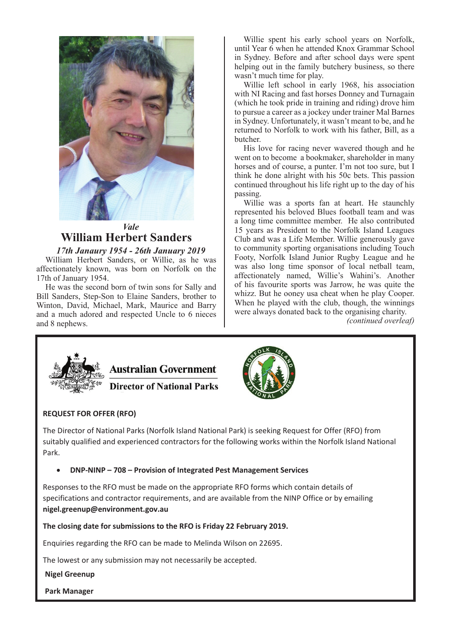

# *Vale* **William Herbert Sanders**

### *17th Janaury 1954 - 26th January 2019*

William Herbert Sanders, or Willie, as he was affectionately known, was born on Norfolk on the 17th of January 1954.

He was the second born of twin sons for Sally and Bill Sanders, Step-Son to Elaine Sanders, brother to Winton, David, Michael, Mark, Maurice and Barry and a much adored and respected Uncle to 6 nieces and 8 nephews.

Willie spent his early school years on Norfolk, until Year 6 when he attended Knox Grammar School in Sydney. Before and after school days were spent helping out in the family butchery business, so there wasn't much time for play.

Willie left school in early 1968, his association with NI Racing and fast horses Donney and Turnagain (which he took pride in training and riding) drove him to pursue a career as a jockey under trainer Mal Barnes in Sydney. Unfortunately, it wasn't meant to be, and he returned to Norfolk to work with his father, Bill, as a butcher.

His love for racing never wavered though and he went on to become a bookmaker, shareholder in many horses and of course, a punter. I'm not too sure, but I think he done alright with his 50c bets. This passion continued throughout his life right up to the day of his passing.

Willie was a sports fan at heart. He staunchly represented his beloved Blues football team and was a long time committee member. He also contributed 15 years as President to the Norfolk Island Leagues Club and was a Life Member. Willie generously gave to community sporting organisations including Touch Footy, Norfolk Island Junior Rugby League and he was also long time sponsor of local netball team, affectionately named, Willie's Wahini's. Another of his favourite sports was Jarrow, he was quite the whizz. But he ooney usa cheat when he play Cooper. When he played with the club, though, the winnings were always donated back to the organising charity.

*(continued overleaf)*





**Director of National Parks** 



# **REQUEST FOR OFFER (RFO)** Park.

 $\tau$  The Director of National Parks (Norfolk Island National Park) is seeking Request for Offer (RFO) from and the cases of manchest rang (non-ordinal manches in any is cooling mequest for the  $(m - m)$  is in the suitably qualified and experienced contractors for the following works within the Norfolk Island National Park.  $Park$  $\mathsf{Parks.}$ 

**• DNP-NINP – 708 – Provision of Integrated Pest Management Services**  $\sim$  DND NUND  $\sim$  700. Dissister of the experienced Deat Management Comince Park.

Responses to the RFO must be made on the appropriate RFO forms which contain details of responses to the nine mast be made on the appropriate in  $\sigma$  roms which contain details of specifications and contractor requirements, and are available from the NINP Office or by emailing nigel.greenup@environment.gov.au **be made to the RFO must be made to the appropriate RFO forms which contain det** 

The closing date for submissions to the RFO is Friday 22 February 2019. **nie eieenig eate for selennissions to t** 

Enquiries regarding the RFO can be made to Melinda Wilson on 22695.

The lowest or any submission may not necessarily be accepted.

**Nigel Greenup**

**Park Manager**